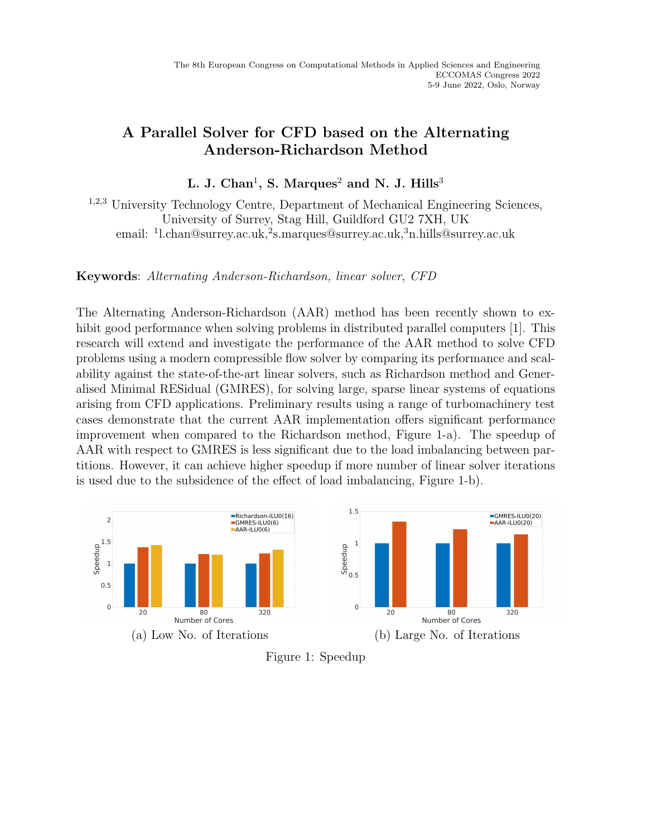## A Parallel Solver for CFD based on the Alternating Anderson-Richardson Method

L. J. Chan<sup>1</sup>, S. Marques<sup>2</sup> and N. J. Hills<sup>3</sup>

<sup>1</sup>,2,<sup>3</sup> University Technology Centre, Department of Mechanical Engineering Sciences, University of Surrey, Stag Hill, Guildford GU2 7XH, UK email: <sup>1</sup>l.chan@surrey.ac.uk,<sup>2</sup>s.marques@surrey.ac.uk,<sup>3</sup>n.hills@surrey.ac.uk

Keywords: Alternating Anderson-Richardson, linear solver, CFD

The Alternating Anderson-Richardson (AAR) method has been recently shown to exhibit good performance when solving problems in distributed parallel computers [1]. This research will extend and investigate the performance of the AAR method to solve CFD problems using a modern compressible flow solver by comparing its performance and scalability against the state-of-the-art linear solvers, such as Richardson method and Generalised Minimal RESidual (GMRES), for solving large, sparse linear systems of equations arising from CFD applications. Preliminary results using a range of turbomachinery test cases demonstrate that the current AAR implementation offers significant performance improvement when compared to the Richardson method, Figure 1-a). The speedup of AAR with respect to GMRES is less significant due to the load imbalancing between partitions. However, it can achieve higher speedup if more number of linear solver iterations is used due to the subsidence of the effect of load imbalancing, Figure 1-b).



Figure 1: Speedup